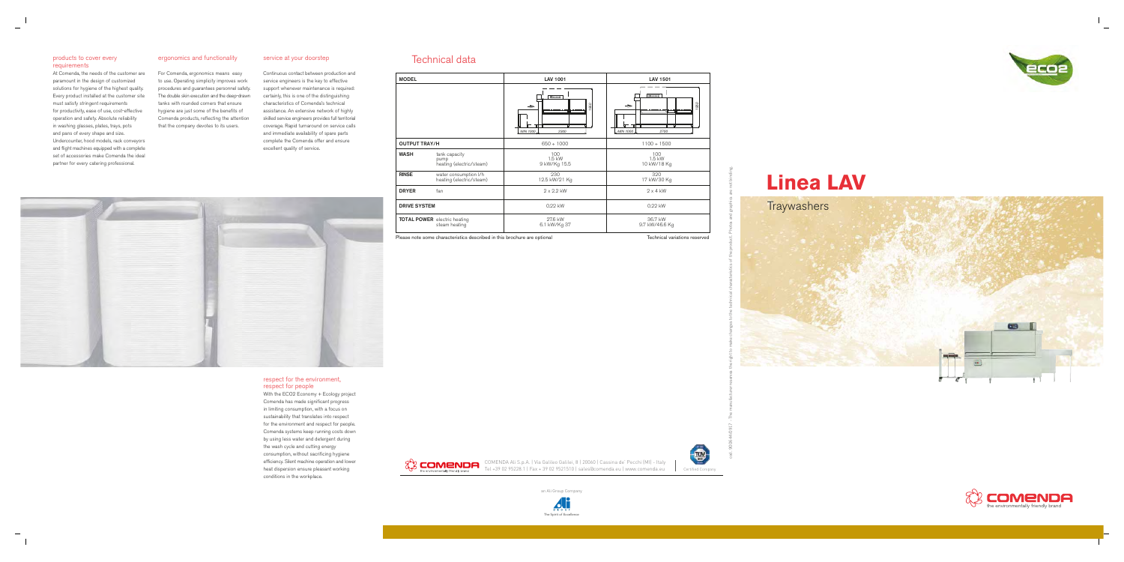



### products to cover every requirements

At Comenda, the needs of the customer ar e paramount in the design of customized solutions for hygiene of the highest quality. Every product installed at the customer site must satisfy stringent requirements for productivity, ease of use, cost-effective operation and safety. Absolute reliability in washing glasses, plates, trays, pots and pans of every shape and size. Undercounter, hood models, rack conveyor s and flight machines equ ipped with a co mplet e set of accessories make Comenda the idea l partner for every catering professional.

#### ergonomics and functionality

For Comenda, ergonomics means easy to use. Operating simplicity improves work procedures and guarantees personnel sa fety. The double skin execution and the deep-draw n tanks with rounded corners that ensure hygiene are just some of the benefits of Comenda products, reflecting the attention that the company devotes to its users.

#### service at your doorstep

Continuous contact between production an d service engineers is the key to effective support whenever maintenance is required: certainly, this is one of the distinguishing characteristics of Comenda's technical assistance. An extensive network of highly skilled service engineers provides full territoria l coverage. Rapid turnaround on service calls and immediate availability of spare parts complete the Comenda offer and ensure excellent quality of service.

With the ECO2 Economy + Ecology project Comenda has made significant progress in limiting consumption, with a focus on sustainability that translates into respect for the environment and respect for people. Comenda systems keep running costs dow n by using less water and detergent during the wash cycle and cutting energy consumption, without sacrificing hygiene efficiency. Silent machine operation and lower heat dispersion ensure pleasant working conditions in the workplace.



# **Linea LAV**

## Technical data



#### respect for the environment, respect for people

| <b>MODEL</b>         |                                                      | <b>LAV 1001</b>                                                   | <b>LAV 1501</b>                                                                         |
|----------------------|------------------------------------------------------|-------------------------------------------------------------------|-----------------------------------------------------------------------------------------|
|                      |                                                      | $\overline{\bigcirc}$<br>950<br>$\rightarrow$<br>MIN 1000<br>2300 | $\overline{\bigcirc \cdots \bigcirc}$<br>950<br>$\rightarrow$<br>मा<br>MIN 1000<br>2700 |
| <b>OUTPUT TRAY/H</b> |                                                      | $650 \div 1000$                                                   | $1100 \div 1500$                                                                        |
| <b>WASH</b>          | tank capacity<br>pump<br>heating (electric/steam)    | 100<br>1.5 kW<br>9 kW/Kg 15.5                                     | 100<br>1.5 kW<br>10 kW/18 Kg                                                            |
| <b>RINSE</b>         | water consumption I/h<br>heating (electric/steam)    | 230<br>12.5 kW/21 Kg                                              | 320<br>17 kW/30 Kg                                                                      |
| <b>DRYER</b>         | fan                                                  | $2 \times 2.2$ kW                                                 | $2 \times 4$ kW                                                                         |
| <b>DRIVE SYSTEM</b>  |                                                      | 0.22 kW                                                           | 0.22 kW                                                                                 |
|                      | <b>TOTAL POWER</b> electric heating<br>steam heating | 27.6 kW<br>6.1 kW/Kg 37                                           | 36.7 kW<br>9.7 kW/46.6 Kg                                                               |

Please note some characteristics described in this brochure are optional Technical variations reserved



COMENDA Ali S.p.A. | Via Galileo Galilei, 8 | 20060 | Cassina de' Pecchi (MI) - Italy Tel +39 02 95228.1 | Fax + 39 02 9521510 | sales@comenda.eu | www.comenda.eu Certified Company





an Ali Group Company

cod. 900644/0917 - The manufacturer reserves the right to make changes to the technical characteristics of the product. Photos and graphics are not binding.